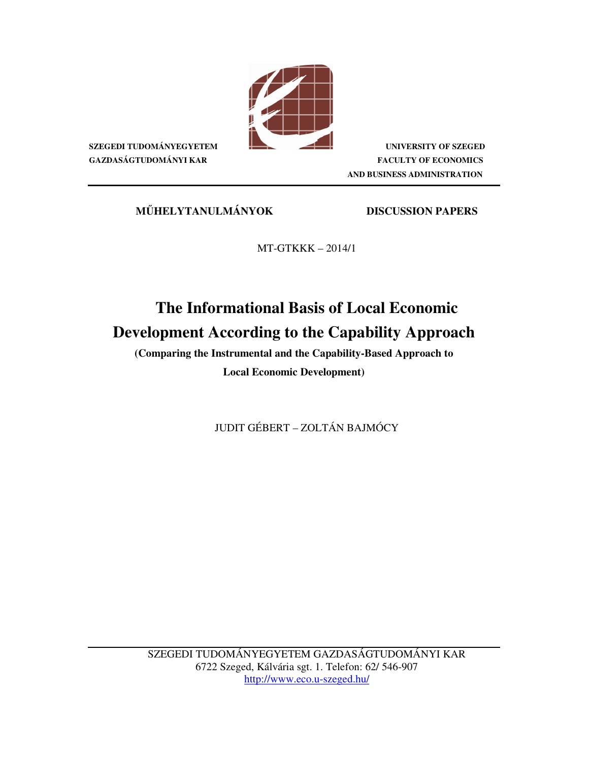

**SZEGEDI TUDOMÁNYEGYETEM UNIVERSITY OF SZEGED GAZDASÁGTUDOMÁNYI KAR FACULTY OF ECONOMICS AND BUSINESS ADMINISTRATION** 

**M**Ű**HELYTANULMÁNYOK DISCUSSION PAPERS**

MT-GTKKK – 2014/1

# **The Informational Basis of Local Economic Development According to the Capability Approach**

**(Comparing the Instrumental and the Capability-Based Approach to** 

**Local Economic Development)** 

JUDIT GÉBERT – ZOLTÁN BAJMÓCY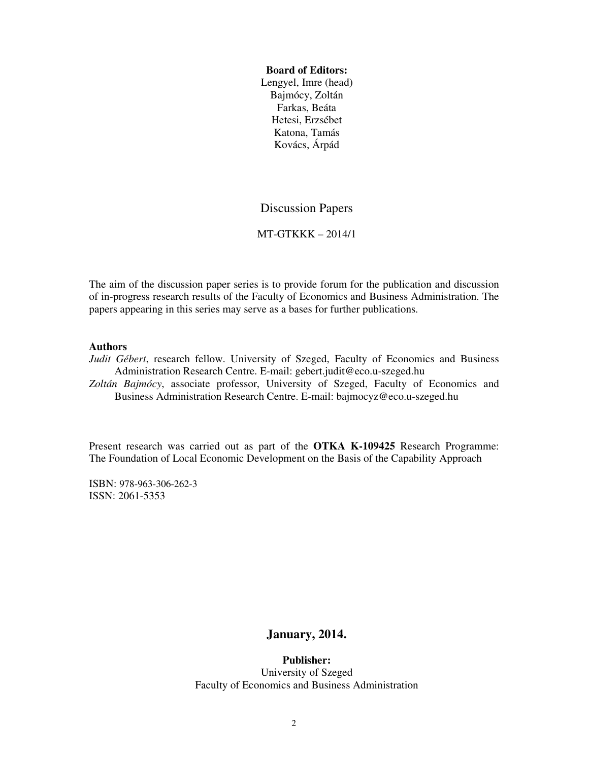#### **Board of Editors:**

Lengyel, Imre (head) Bajmócy, Zoltán Farkas, Beáta Hetesi, Erzsébet Katona, Tamás Kovács, Árpád

## Discussion Papers

#### MT-GTKKK – 2014/1

The aim of the discussion paper series is to provide forum for the publication and discussion of in-progress research results of the Faculty of Economics and Business Administration. The papers appearing in this series may serve as a bases for further publications.

#### **Authors**

*Judit Gébert*, research fellow. University of Szeged, Faculty of Economics and Business Administration Research Centre. E-mail: gebert.judit@eco.u-szeged.hu

*Zoltán Bajmócy*, associate professor, University of Szeged, Faculty of Economics and Business Administration Research Centre. E-mail: bajmocyz@eco.u-szeged.hu

Present research was carried out as part of the **OTKA K-109425** Research Programme: The Foundation of Local Economic Development on the Basis of the Capability Approach

ISBN: 978-963-306-262-3 ISSN: 2061-5353

### **January, 2014.**

**Publisher:**  University of Szeged Faculty of Economics and Business Administration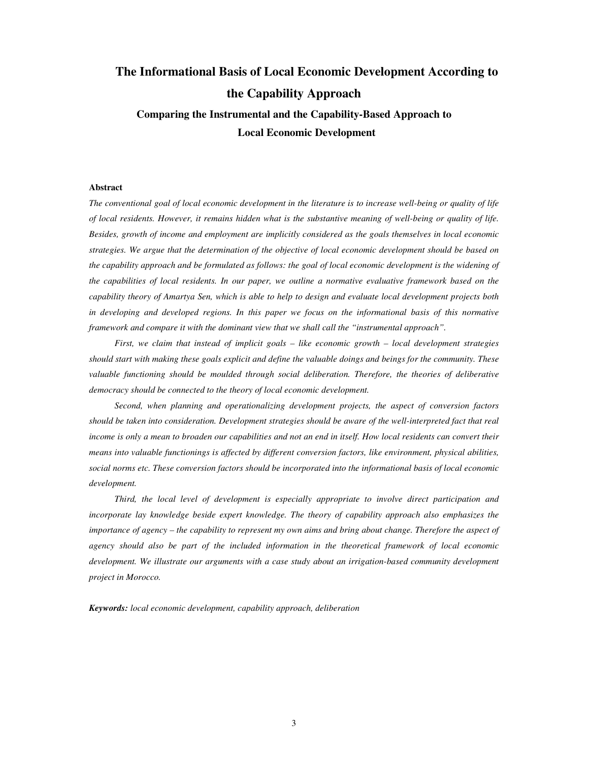# **The Informational Basis of Local Economic Development According to the Capability Approach Comparing the Instrumental and the Capability-Based Approach to Local Economic Development**

#### **Abstract**

*The conventional goal of local economic development in the literature is to increase well-being or quality of life of local residents. However, it remains hidden what is the substantive meaning of well-being or quality of life. Besides, growth of income and employment are implicitly considered as the goals themselves in local economic strategies. We argue that the determination of the objective of local economic development should be based on the capability approach and be formulated as follows: the goal of local economic development is the widening of the capabilities of local residents. In our paper, we outline a normative evaluative framework based on the capability theory of Amartya Sen, which is able to help to design and evaluate local development projects both in developing and developed regions. In this paper we focus on the informational basis of this normative framework and compare it with the dominant view that we shall call the "instrumental approach".* 

*First, we claim that instead of implicit goals – like economic growth – local development strategies should start with making these goals explicit and define the valuable doings and beings for the community. These valuable functioning should be moulded through social deliberation. Therefore, the theories of deliberative democracy should be connected to the theory of local economic development.* 

*Second, when planning and operationalizing development projects, the aspect of conversion factors should be taken into consideration. Development strategies should be aware of the well-interpreted fact that real income is only a mean to broaden our capabilities and not an end in itself. How local residents can convert their means into valuable functionings is affected by different conversion factors, like environment, physical abilities, social norms etc. These conversion factors should be incorporated into the informational basis of local economic development.* 

*Third, the local level of development is especially appropriate to involve direct participation and incorporate lay knowledge beside expert knowledge. The theory of capability approach also emphasizes the importance of agency – the capability to represent my own aims and bring about change. Therefore the aspect of agency should also be part of the included information in the theoretical framework of local economic development. We illustrate our arguments with a case study about an irrigation-based community development project in Morocco.* 

*Keywords: local economic development, capability approach, deliberation*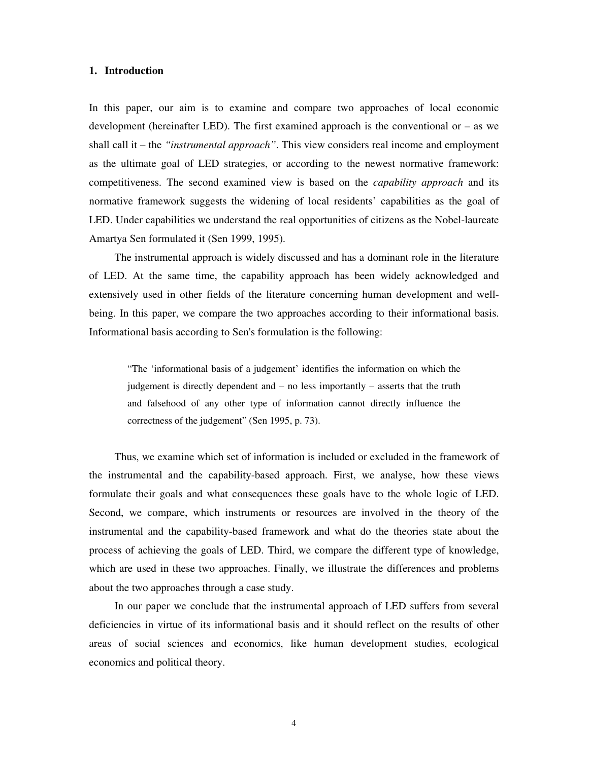#### **1. Introduction**

In this paper, our aim is to examine and compare two approaches of local economic development (hereinafter LED). The first examined approach is the conventional or  $-$  as we shall call it – the *"instrumental approach"*. This view considers real income and employment as the ultimate goal of LED strategies, or according to the newest normative framework: competitiveness. The second examined view is based on the *capability approach* and its normative framework suggests the widening of local residents' capabilities as the goal of LED. Under capabilities we understand the real opportunities of citizens as the Nobel-laureate Amartya Sen formulated it (Sen 1999, 1995).

The instrumental approach is widely discussed and has a dominant role in the literature of LED. At the same time, the capability approach has been widely acknowledged and extensively used in other fields of the literature concerning human development and wellbeing. In this paper, we compare the two approaches according to their informational basis. Informational basis according to Sen's formulation is the following:

"The 'informational basis of a judgement' identifies the information on which the judgement is directly dependent and – no less importantly – asserts that the truth and falsehood of any other type of information cannot directly influence the correctness of the judgement" (Sen 1995, p. 73).

Thus, we examine which set of information is included or excluded in the framework of the instrumental and the capability-based approach. First, we analyse, how these views formulate their goals and what consequences these goals have to the whole logic of LED. Second, we compare, which instruments or resources are involved in the theory of the instrumental and the capability-based framework and what do the theories state about the process of achieving the goals of LED. Third, we compare the different type of knowledge, which are used in these two approaches. Finally, we illustrate the differences and problems about the two approaches through a case study.

In our paper we conclude that the instrumental approach of LED suffers from several deficiencies in virtue of its informational basis and it should reflect on the results of other areas of social sciences and economics, like human development studies, ecological economics and political theory.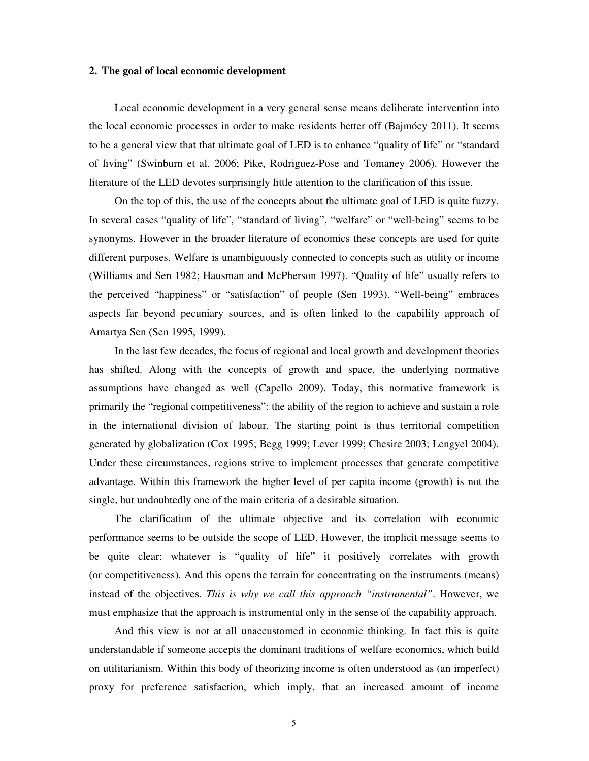#### **2. The goal of local economic development**

Local economic development in a very general sense means deliberate intervention into the local economic processes in order to make residents better off (Bajmócy 2011). It seems to be a general view that that ultimate goal of LED is to enhance "quality of life" or "standard of living" (Swinburn et al. 2006; Pike, Rodriguez-Pose and Tomaney 2006). However the literature of the LED devotes surprisingly little attention to the clarification of this issue.

On the top of this, the use of the concepts about the ultimate goal of LED is quite fuzzy. In several cases "quality of life", "standard of living", "welfare" or "well-being" seems to be synonyms. However in the broader literature of economics these concepts are used for quite different purposes. Welfare is unambiguously connected to concepts such as utility or income (Williams and Sen 1982; Hausman and McPherson 1997). "Quality of life" usually refers to the perceived "happiness" or "satisfaction" of people (Sen 1993). "Well-being" embraces aspects far beyond pecuniary sources, and is often linked to the capability approach of Amartya Sen (Sen 1995, 1999).

In the last few decades, the focus of regional and local growth and development theories has shifted. Along with the concepts of growth and space, the underlying normative assumptions have changed as well (Capello 2009). Today, this normative framework is primarily the "regional competitiveness": the ability of the region to achieve and sustain a role in the international division of labour. The starting point is thus territorial competition generated by globalization (Cox 1995; Begg 1999; Lever 1999; Chesire 2003; Lengyel 2004). Under these circumstances, regions strive to implement processes that generate competitive advantage. Within this framework the higher level of per capita income (growth) is not the single, but undoubtedly one of the main criteria of a desirable situation.

The clarification of the ultimate objective and its correlation with economic performance seems to be outside the scope of LED. However, the implicit message seems to be quite clear: whatever is "quality of life" it positively correlates with growth (or competitiveness). And this opens the terrain for concentrating on the instruments (means) instead of the objectives. *This is why we call this approach "instrumental"*. However, we must emphasize that the approach is instrumental only in the sense of the capability approach.

And this view is not at all unaccustomed in economic thinking. In fact this is quite understandable if someone accepts the dominant traditions of welfare economics, which build on utilitarianism. Within this body of theorizing income is often understood as (an imperfect) proxy for preference satisfaction, which imply, that an increased amount of income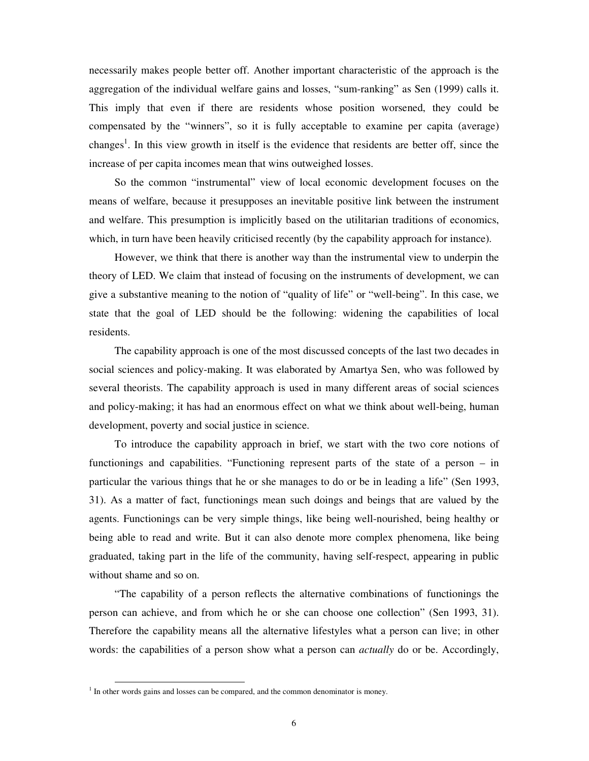necessarily makes people better off. Another important characteristic of the approach is the aggregation of the individual welfare gains and losses, "sum-ranking" as Sen (1999) calls it. This imply that even if there are residents whose position worsened, they could be compensated by the "winners", so it is fully acceptable to examine per capita (average) changes<sup>1</sup>. In this view growth in itself is the evidence that residents are better off, since the increase of per capita incomes mean that wins outweighed losses.

So the common "instrumental" view of local economic development focuses on the means of welfare, because it presupposes an inevitable positive link between the instrument and welfare. This presumption is implicitly based on the utilitarian traditions of economics, which, in turn have been heavily criticised recently (by the capability approach for instance).

However, we think that there is another way than the instrumental view to underpin the theory of LED. We claim that instead of focusing on the instruments of development, we can give a substantive meaning to the notion of "quality of life" or "well-being". In this case, we state that the goal of LED should be the following: widening the capabilities of local residents.

The capability approach is one of the most discussed concepts of the last two decades in social sciences and policy-making. It was elaborated by Amartya Sen, who was followed by several theorists. The capability approach is used in many different areas of social sciences and policy-making; it has had an enormous effect on what we think about well-being, human development, poverty and social justice in science.

To introduce the capability approach in brief, we start with the two core notions of functionings and capabilities. "Functioning represent parts of the state of a person – in particular the various things that he or she manages to do or be in leading a life" (Sen 1993, 31). As a matter of fact, functionings mean such doings and beings that are valued by the agents. Functionings can be very simple things, like being well-nourished, being healthy or being able to read and write. But it can also denote more complex phenomena, like being graduated, taking part in the life of the community, having self-respect, appearing in public without shame and so on.

"The capability of a person reflects the alternative combinations of functionings the person can achieve, and from which he or she can choose one collection" (Sen 1993, 31). Therefore the capability means all the alternative lifestyles what a person can live; in other words: the capabilities of a person show what a person can *actually* do or be. Accordingly,

-

 $<sup>1</sup>$  In other words gains and losses can be compared, and the common denominator is money.</sup>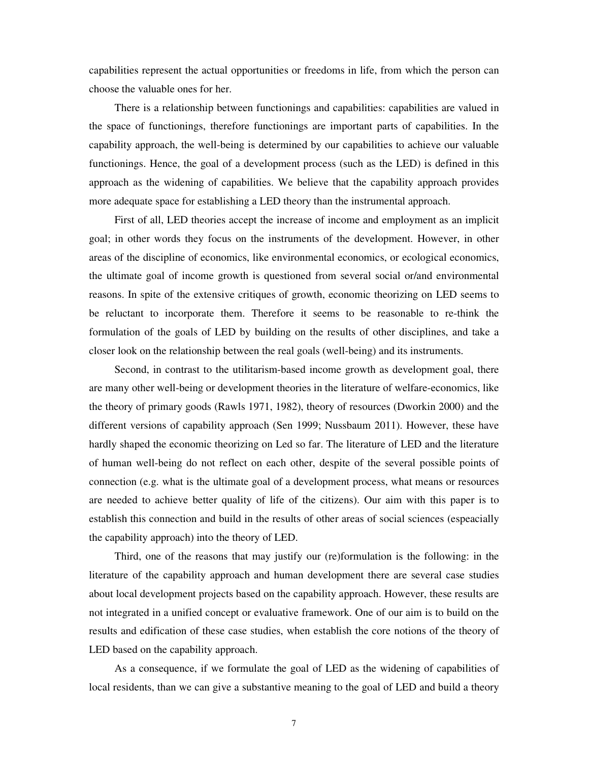capabilities represent the actual opportunities or freedoms in life, from which the person can choose the valuable ones for her.

There is a relationship between functionings and capabilities: capabilities are valued in the space of functionings, therefore functionings are important parts of capabilities. In the capability approach, the well-being is determined by our capabilities to achieve our valuable functionings. Hence, the goal of a development process (such as the LED) is defined in this approach as the widening of capabilities. We believe that the capability approach provides more adequate space for establishing a LED theory than the instrumental approach.

First of all, LED theories accept the increase of income and employment as an implicit goal; in other words they focus on the instruments of the development. However, in other areas of the discipline of economics, like environmental economics, or ecological economics, the ultimate goal of income growth is questioned from several social or/and environmental reasons. In spite of the extensive critiques of growth, economic theorizing on LED seems to be reluctant to incorporate them. Therefore it seems to be reasonable to re-think the formulation of the goals of LED by building on the results of other disciplines, and take a closer look on the relationship between the real goals (well-being) and its instruments.

Second, in contrast to the utilitarism-based income growth as development goal, there are many other well-being or development theories in the literature of welfare-economics, like the theory of primary goods (Rawls 1971, 1982), theory of resources (Dworkin 2000) and the different versions of capability approach (Sen 1999; Nussbaum 2011). However, these have hardly shaped the economic theorizing on Led so far. The literature of LED and the literature of human well-being do not reflect on each other, despite of the several possible points of connection (e.g. what is the ultimate goal of a development process, what means or resources are needed to achieve better quality of life of the citizens). Our aim with this paper is to establish this connection and build in the results of other areas of social sciences (espeacially the capability approach) into the theory of LED.

Third, one of the reasons that may justify our (re)formulation is the following: in the literature of the capability approach and human development there are several case studies about local development projects based on the capability approach. However, these results are not integrated in a unified concept or evaluative framework. One of our aim is to build on the results and edification of these case studies, when establish the core notions of the theory of LED based on the capability approach.

As a consequence, if we formulate the goal of LED as the widening of capabilities of local residents, than we can give a substantive meaning to the goal of LED and build a theory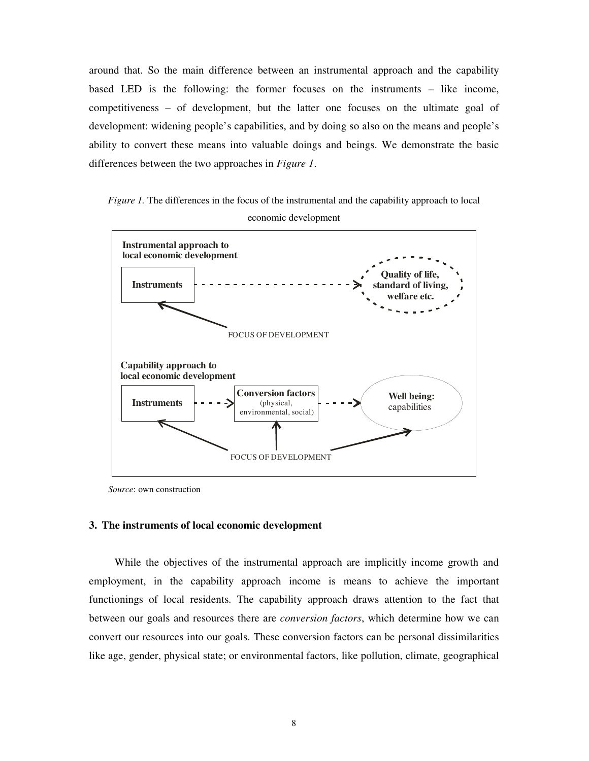around that. So the main difference between an instrumental approach and the capability based LED is the following: the former focuses on the instruments – like income, competitiveness – of development, but the latter one focuses on the ultimate goal of development: widening people's capabilities, and by doing so also on the means and people's ability to convert these means into valuable doings and beings. We demonstrate the basic differences between the two approaches in *Figure 1*.

*Figure 1.* The differences in the focus of the instrumental and the capability approach to local economic development



*Source*: own construction

#### **3. The instruments of local economic development**

While the objectives of the instrumental approach are implicitly income growth and employment, in the capability approach income is means to achieve the important functionings of local residents. The capability approach draws attention to the fact that between our goals and resources there are *conversion factors*, which determine how we can convert our resources into our goals. These conversion factors can be personal dissimilarities like age, gender, physical state; or environmental factors, like pollution, climate, geographical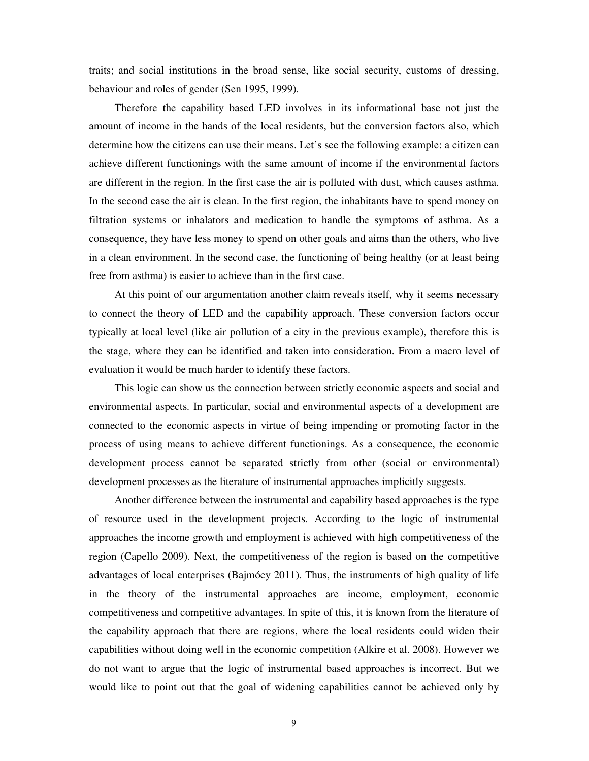traits; and social institutions in the broad sense, like social security, customs of dressing, behaviour and roles of gender (Sen 1995, 1999).

Therefore the capability based LED involves in its informational base not just the amount of income in the hands of the local residents, but the conversion factors also, which determine how the citizens can use their means. Let's see the following example: a citizen can achieve different functionings with the same amount of income if the environmental factors are different in the region. In the first case the air is polluted with dust, which causes asthma. In the second case the air is clean. In the first region, the inhabitants have to spend money on filtration systems or inhalators and medication to handle the symptoms of asthma. As a consequence, they have less money to spend on other goals and aims than the others, who live in a clean environment. In the second case, the functioning of being healthy (or at least being free from asthma) is easier to achieve than in the first case.

At this point of our argumentation another claim reveals itself, why it seems necessary to connect the theory of LED and the capability approach. These conversion factors occur typically at local level (like air pollution of a city in the previous example), therefore this is the stage, where they can be identified and taken into consideration. From a macro level of evaluation it would be much harder to identify these factors.

This logic can show us the connection between strictly economic aspects and social and environmental aspects. In particular, social and environmental aspects of a development are connected to the economic aspects in virtue of being impending or promoting factor in the process of using means to achieve different functionings. As a consequence, the economic development process cannot be separated strictly from other (social or environmental) development processes as the literature of instrumental approaches implicitly suggests.

Another difference between the instrumental and capability based approaches is the type of resource used in the development projects. According to the logic of instrumental approaches the income growth and employment is achieved with high competitiveness of the region (Capello 2009). Next, the competitiveness of the region is based on the competitive advantages of local enterprises (Bajmócy 2011). Thus, the instruments of high quality of life in the theory of the instrumental approaches are income, employment, economic competitiveness and competitive advantages. In spite of this, it is known from the literature of the capability approach that there are regions, where the local residents could widen their capabilities without doing well in the economic competition (Alkire et al. 2008). However we do not want to argue that the logic of instrumental based approaches is incorrect. But we would like to point out that the goal of widening capabilities cannot be achieved only by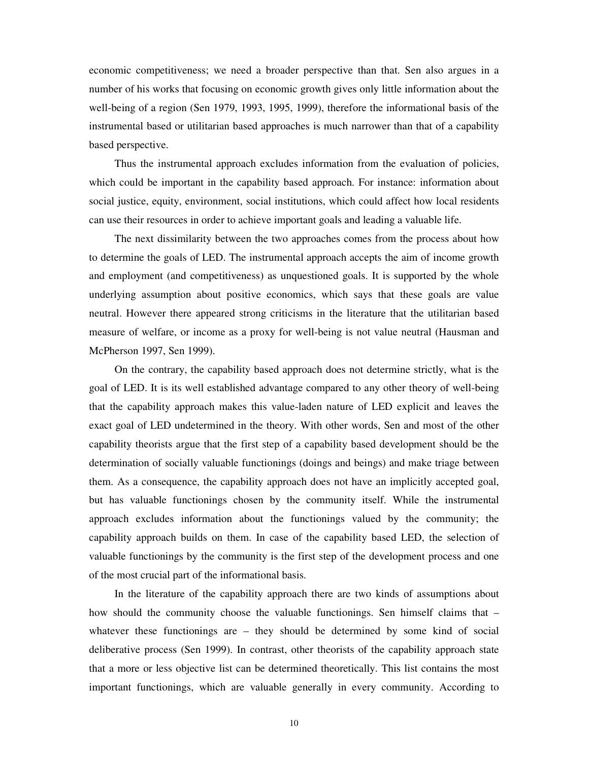economic competitiveness; we need a broader perspective than that. Sen also argues in a number of his works that focusing on economic growth gives only little information about the well-being of a region (Sen 1979, 1993, 1995, 1999), therefore the informational basis of the instrumental based or utilitarian based approaches is much narrower than that of a capability based perspective.

Thus the instrumental approach excludes information from the evaluation of policies, which could be important in the capability based approach. For instance: information about social justice, equity, environment, social institutions, which could affect how local residents can use their resources in order to achieve important goals and leading a valuable life.

The next dissimilarity between the two approaches comes from the process about how to determine the goals of LED. The instrumental approach accepts the aim of income growth and employment (and competitiveness) as unquestioned goals. It is supported by the whole underlying assumption about positive economics, which says that these goals are value neutral. However there appeared strong criticisms in the literature that the utilitarian based measure of welfare, or income as a proxy for well-being is not value neutral (Hausman and McPherson 1997, Sen 1999).

On the contrary, the capability based approach does not determine strictly, what is the goal of LED. It is its well established advantage compared to any other theory of well-being that the capability approach makes this value-laden nature of LED explicit and leaves the exact goal of LED undetermined in the theory. With other words, Sen and most of the other capability theorists argue that the first step of a capability based development should be the determination of socially valuable functionings (doings and beings) and make triage between them. As a consequence, the capability approach does not have an implicitly accepted goal, but has valuable functionings chosen by the community itself. While the instrumental approach excludes information about the functionings valued by the community; the capability approach builds on them. In case of the capability based LED, the selection of valuable functionings by the community is the first step of the development process and one of the most crucial part of the informational basis.

In the literature of the capability approach there are two kinds of assumptions about how should the community choose the valuable functionings. Sen himself claims that – whatever these functionings are – they should be determined by some kind of social deliberative process (Sen 1999). In contrast, other theorists of the capability approach state that a more or less objective list can be determined theoretically. This list contains the most important functionings, which are valuable generally in every community. According to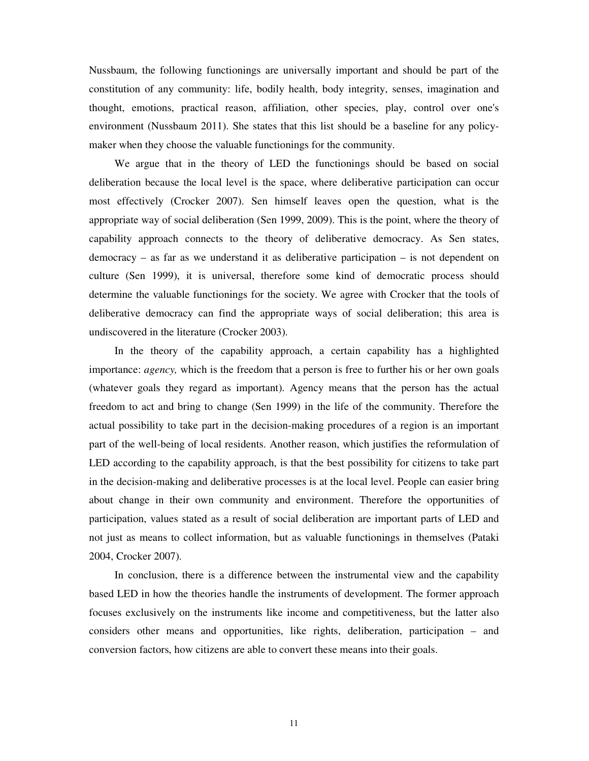Nussbaum, the following functionings are universally important and should be part of the constitution of any community: life, bodily health, body integrity, senses, imagination and thought, emotions, practical reason, affiliation, other species, play, control over one's environment (Nussbaum 2011). She states that this list should be a baseline for any policymaker when they choose the valuable functionings for the community.

We argue that in the theory of LED the functionings should be based on social deliberation because the local level is the space, where deliberative participation can occur most effectively (Crocker 2007). Sen himself leaves open the question, what is the appropriate way of social deliberation (Sen 1999, 2009). This is the point, where the theory of capability approach connects to the theory of deliberative democracy. As Sen states, democracy – as far as we understand it as deliberative participation – is not dependent on culture (Sen 1999), it is universal, therefore some kind of democratic process should determine the valuable functionings for the society. We agree with Crocker that the tools of deliberative democracy can find the appropriate ways of social deliberation; this area is undiscovered in the literature (Crocker 2003).

In the theory of the capability approach, a certain capability has a highlighted importance: *agency,* which is the freedom that a person is free to further his or her own goals (whatever goals they regard as important). Agency means that the person has the actual freedom to act and bring to change (Sen 1999) in the life of the community. Therefore the actual possibility to take part in the decision-making procedures of a region is an important part of the well-being of local residents. Another reason, which justifies the reformulation of LED according to the capability approach, is that the best possibility for citizens to take part in the decision-making and deliberative processes is at the local level. People can easier bring about change in their own community and environment. Therefore the opportunities of participation, values stated as a result of social deliberation are important parts of LED and not just as means to collect information, but as valuable functionings in themselves (Pataki 2004, Crocker 2007).

In conclusion, there is a difference between the instrumental view and the capability based LED in how the theories handle the instruments of development. The former approach focuses exclusively on the instruments like income and competitiveness, but the latter also considers other means and opportunities, like rights, deliberation, participation – and conversion factors, how citizens are able to convert these means into their goals.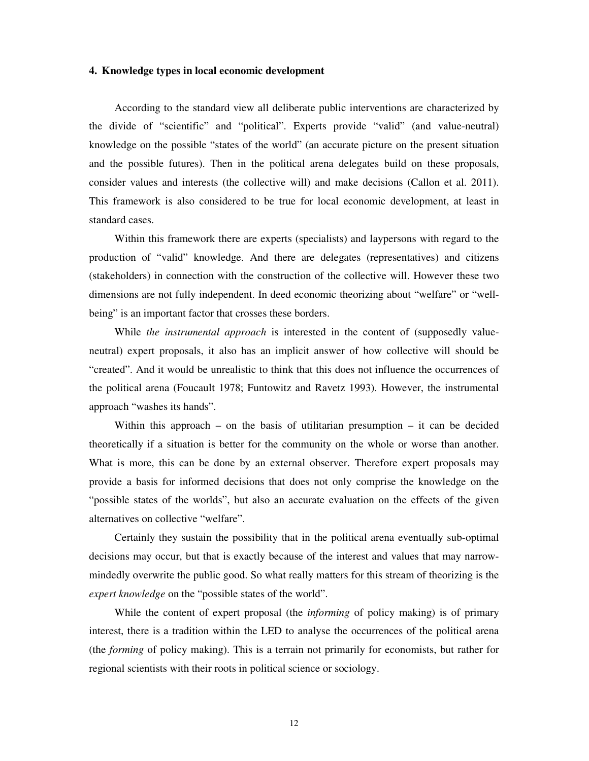#### **4. Knowledge types in local economic development**

According to the standard view all deliberate public interventions are characterized by the divide of "scientific" and "political". Experts provide "valid" (and value-neutral) knowledge on the possible "states of the world" (an accurate picture on the present situation and the possible futures). Then in the political arena delegates build on these proposals, consider values and interests (the collective will) and make decisions (Callon et al. 2011). This framework is also considered to be true for local economic development, at least in standard cases.

Within this framework there are experts (specialists) and laypersons with regard to the production of "valid" knowledge. And there are delegates (representatives) and citizens (stakeholders) in connection with the construction of the collective will. However these two dimensions are not fully independent. In deed economic theorizing about "welfare" or "wellbeing" is an important factor that crosses these borders.

While *the instrumental approach* is interested in the content of (supposedly valueneutral) expert proposals, it also has an implicit answer of how collective will should be "created". And it would be unrealistic to think that this does not influence the occurrences of the political arena (Foucault 1978; Funtowitz and Ravetz 1993). However, the instrumental approach "washes its hands".

Within this approach – on the basis of utilitarian presumption – it can be decided theoretically if a situation is better for the community on the whole or worse than another. What is more, this can be done by an external observer. Therefore expert proposals may provide a basis for informed decisions that does not only comprise the knowledge on the "possible states of the worlds", but also an accurate evaluation on the effects of the given alternatives on collective "welfare".

Certainly they sustain the possibility that in the political arena eventually sub-optimal decisions may occur, but that is exactly because of the interest and values that may narrowmindedly overwrite the public good. So what really matters for this stream of theorizing is the *expert knowledge* on the "possible states of the world".

While the content of expert proposal (the *informing* of policy making) is of primary interest, there is a tradition within the LED to analyse the occurrences of the political arena (the *forming* of policy making). This is a terrain not primarily for economists, but rather for regional scientists with their roots in political science or sociology.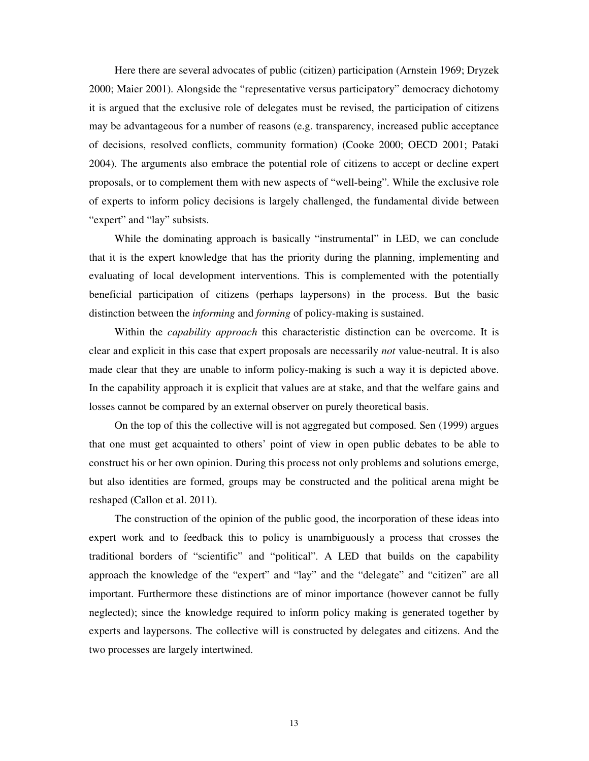Here there are several advocates of public (citizen) participation (Arnstein 1969; Dryzek 2000; Maier 2001). Alongside the "representative versus participatory" democracy dichotomy it is argued that the exclusive role of delegates must be revised, the participation of citizens may be advantageous for a number of reasons (e.g. transparency, increased public acceptance of decisions, resolved conflicts, community formation) (Cooke 2000; OECD 2001; Pataki 2004). The arguments also embrace the potential role of citizens to accept or decline expert proposals, or to complement them with new aspects of "well-being". While the exclusive role of experts to inform policy decisions is largely challenged, the fundamental divide between "expert" and "lay" subsists.

While the dominating approach is basically "instrumental" in LED, we can conclude that it is the expert knowledge that has the priority during the planning, implementing and evaluating of local development interventions. This is complemented with the potentially beneficial participation of citizens (perhaps laypersons) in the process. But the basic distinction between the *informing* and *forming* of policy-making is sustained.

Within the *capability approach* this characteristic distinction can be overcome. It is clear and explicit in this case that expert proposals are necessarily *not* value-neutral. It is also made clear that they are unable to inform policy-making is such a way it is depicted above. In the capability approach it is explicit that values are at stake, and that the welfare gains and losses cannot be compared by an external observer on purely theoretical basis.

On the top of this the collective will is not aggregated but composed. Sen (1999) argues that one must get acquainted to others' point of view in open public debates to be able to construct his or her own opinion. During this process not only problems and solutions emerge, but also identities are formed, groups may be constructed and the political arena might be reshaped (Callon et al. 2011).

The construction of the opinion of the public good, the incorporation of these ideas into expert work and to feedback this to policy is unambiguously a process that crosses the traditional borders of "scientific" and "political". A LED that builds on the capability approach the knowledge of the "expert" and "lay" and the "delegate" and "citizen" are all important. Furthermore these distinctions are of minor importance (however cannot be fully neglected); since the knowledge required to inform policy making is generated together by experts and laypersons. The collective will is constructed by delegates and citizens. And the two processes are largely intertwined.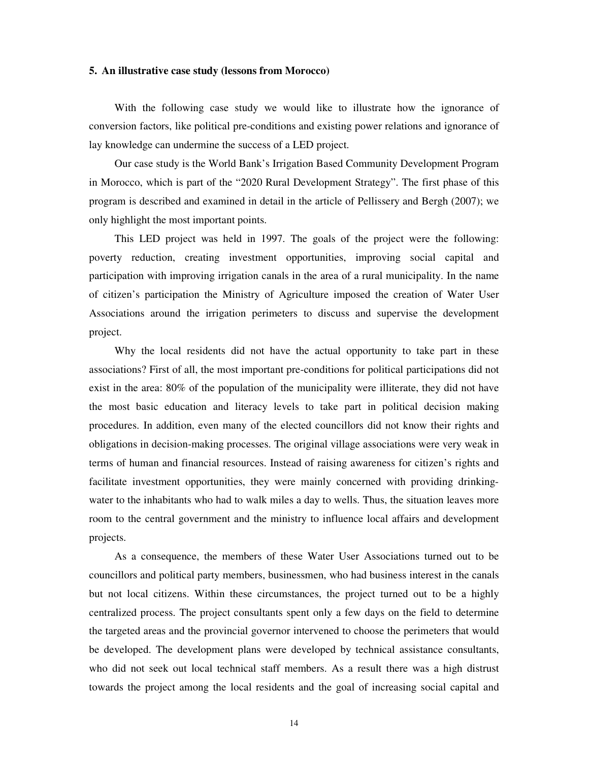#### **5. An illustrative case study (lessons from Morocco)**

With the following case study we would like to illustrate how the ignorance of conversion factors, like political pre-conditions and existing power relations and ignorance of lay knowledge can undermine the success of a LED project.

Our case study is the World Bank's Irrigation Based Community Development Program in Morocco, which is part of the "2020 Rural Development Strategy". The first phase of this program is described and examined in detail in the article of Pellissery and Bergh (2007); we only highlight the most important points.

This LED project was held in 1997. The goals of the project were the following: poverty reduction, creating investment opportunities, improving social capital and participation with improving irrigation canals in the area of a rural municipality. In the name of citizen's participation the Ministry of Agriculture imposed the creation of Water User Associations around the irrigation perimeters to discuss and supervise the development project.

Why the local residents did not have the actual opportunity to take part in these associations? First of all, the most important pre-conditions for political participations did not exist in the area: 80% of the population of the municipality were illiterate, they did not have the most basic education and literacy levels to take part in political decision making procedures. In addition, even many of the elected councillors did not know their rights and obligations in decision-making processes. The original village associations were very weak in terms of human and financial resources. Instead of raising awareness for citizen's rights and facilitate investment opportunities, they were mainly concerned with providing drinkingwater to the inhabitants who had to walk miles a day to wells. Thus, the situation leaves more room to the central government and the ministry to influence local affairs and development projects.

As a consequence, the members of these Water User Associations turned out to be councillors and political party members, businessmen, who had business interest in the canals but not local citizens. Within these circumstances, the project turned out to be a highly centralized process. The project consultants spent only a few days on the field to determine the targeted areas and the provincial governor intervened to choose the perimeters that would be developed. The development plans were developed by technical assistance consultants, who did not seek out local technical staff members. As a result there was a high distrust towards the project among the local residents and the goal of increasing social capital and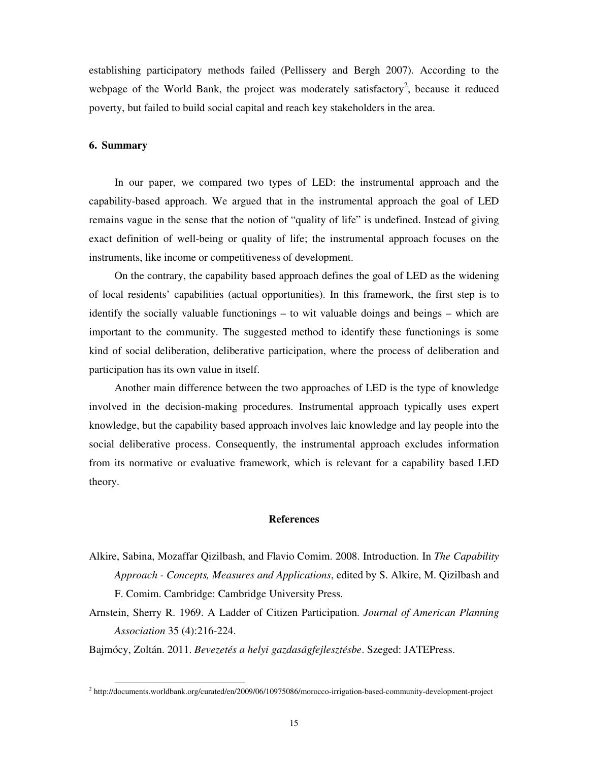establishing participatory methods failed (Pellissery and Bergh 2007). According to the webpage of the World Bank, the project was moderately satisfactory<sup>2</sup>, because it reduced poverty, but failed to build social capital and reach key stakeholders in the area.

#### **6. Summary**

-

In our paper, we compared two types of LED: the instrumental approach and the capability-based approach. We argued that in the instrumental approach the goal of LED remains vague in the sense that the notion of "quality of life" is undefined. Instead of giving exact definition of well-being or quality of life; the instrumental approach focuses on the instruments, like income or competitiveness of development.

On the contrary, the capability based approach defines the goal of LED as the widening of local residents' capabilities (actual opportunities). In this framework, the first step is to identify the socially valuable functionings – to wit valuable doings and beings – which are important to the community. The suggested method to identify these functionings is some kind of social deliberation, deliberative participation, where the process of deliberation and participation has its own value in itself.

Another main difference between the two approaches of LED is the type of knowledge involved in the decision-making procedures. Instrumental approach typically uses expert knowledge, but the capability based approach involves laic knowledge and lay people into the social deliberative process. Consequently, the instrumental approach excludes information from its normative or evaluative framework, which is relevant for a capability based LED theory.

#### **References**

- Alkire, Sabina, Mozaffar Qizilbash, and Flavio Comim. 2008. Introduction. In *The Capability Approach - Concepts, Measures and Applications*, edited by S. Alkire, M. Qizilbash and F. Comim. Cambridge: Cambridge University Press.
- Arnstein, Sherry R. 1969. A Ladder of Citizen Participation. *Journal of American Planning Association* 35 (4):216-224.

Bajmócy, Zoltán. 2011. *Bevezetés a helyi gazdaságfejlesztésbe*. Szeged: JATEPress.

<sup>&</sup>lt;sup>2</sup> http://documents.worldbank.org/curated/en/2009/06/10975086/morocco-irrigation-based-community-development-project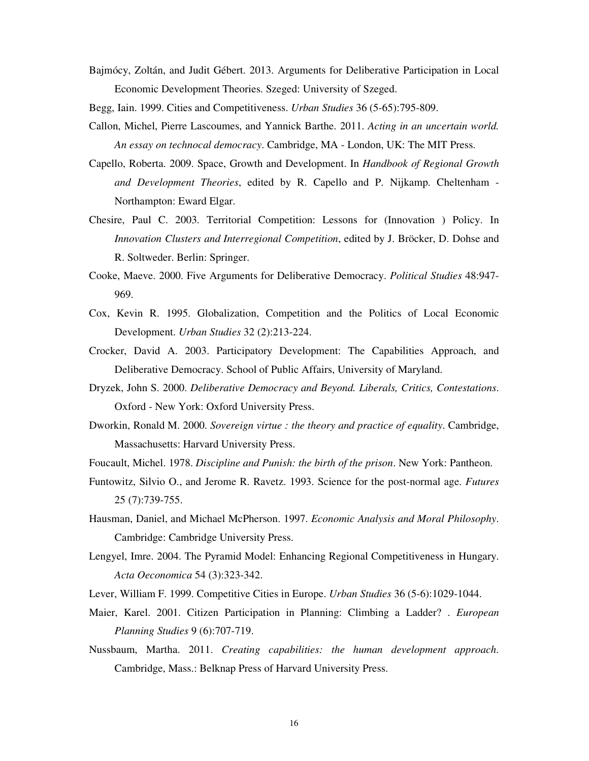Bajmócy, Zoltán, and Judit Gébert. 2013. Arguments for Deliberative Participation in Local Economic Development Theories. Szeged: University of Szeged.

Begg, Iain. 1999. Cities and Competitiveness. *Urban Studies* 36 (5-65):795-809.

- Callon, Michel, Pierre Lascoumes, and Yannick Barthe. 2011. *Acting in an uncertain world. An essay on technocal democracy*. Cambridge, MA - London, UK: The MIT Press.
- Capello, Roberta. 2009. Space, Growth and Development. In *Handbook of Regional Growth and Development Theories*, edited by R. Capello and P. Nijkamp. Cheltenham - Northampton: Eward Elgar.
- Chesire, Paul C. 2003. Territorial Competition: Lessons for (Innovation ) Policy. In *Innovation Clusters and Interregional Competition*, edited by J. Bröcker, D. Dohse and R. Soltweder. Berlin: Springer.
- Cooke, Maeve. 2000. Five Arguments for Deliberative Democracy. *Political Studies* 48:947- 969.
- Cox, Kevin R. 1995. Globalization, Competition and the Politics of Local Economic Development. *Urban Studies* 32 (2):213-224.
- Crocker, David A. 2003. Participatory Development: The Capabilities Approach, and Deliberative Democracy. School of Public Affairs, University of Maryland.
- Dryzek, John S. 2000. *Deliberative Democracy and Beyond. Liberals, Critics, Contestations*. Oxford - New York: Oxford University Press.
- Dworkin, Ronald M. 2000. *Sovereign virtue : the theory and practice of equality*. Cambridge, Massachusetts: Harvard University Press.
- Foucault, Michel. 1978. *Discipline and Punish: the birth of the prison*. New York: Pantheon.
- Funtowitz, Silvio O., and Jerome R. Ravetz. 1993. Science for the post-normal age. *Futures* 25 (7):739-755.
- Hausman, Daniel, and Michael McPherson. 1997. *Economic Analysis and Moral Philosophy*. Cambridge: Cambridge University Press.
- Lengyel, Imre. 2004. The Pyramid Model: Enhancing Regional Competitiveness in Hungary. *Acta Oeconomica* 54 (3):323-342.
- Lever, William F. 1999. Competitive Cities in Europe. *Urban Studies* 36 (5-6):1029-1044.
- Maier, Karel. 2001. Citizen Participation in Planning: Climbing a Ladder? . *European Planning Studies* 9 (6):707-719.
- Nussbaum, Martha. 2011. *Creating capabilities: the human development approach*. Cambridge, Mass.: Belknap Press of Harvard University Press.